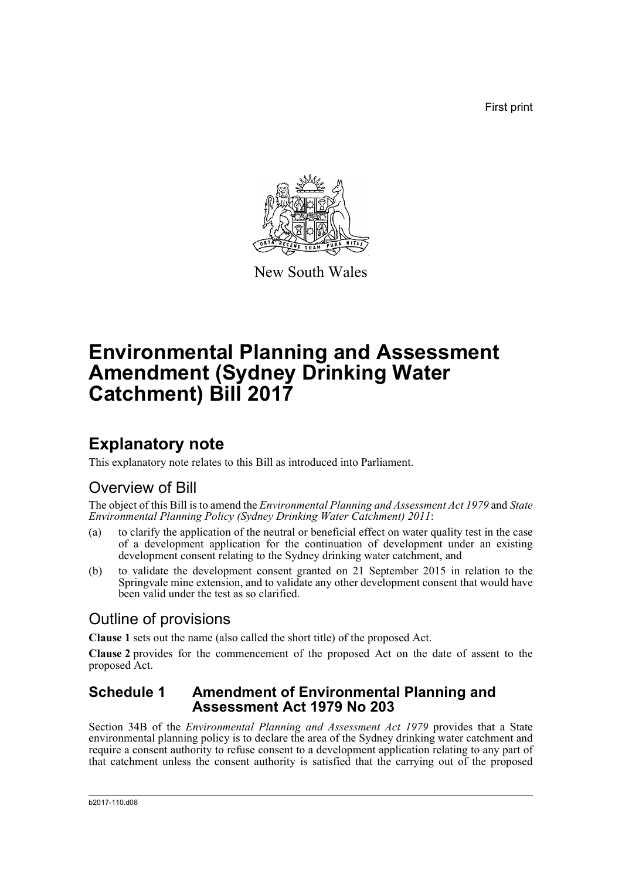First print



New South Wales

# **Environmental Planning and Assessment Amendment (Sydney Drinking Water Catchment) Bill 2017**

## **Explanatory note**

This explanatory note relates to this Bill as introduced into Parliament.

### Overview of Bill

The object of this Bill is to amend the *Environmental Planning and Assessment Act 1979* and *State Environmental Planning Policy (Sydney Drinking Water Catchment) 2011*:

- (a) to clarify the application of the neutral or beneficial effect on water quality test in the case of a development application for the continuation of development under an existing development consent relating to the Sydney drinking water catchment, and
- (b) to validate the development consent granted on 21 September 2015 in relation to the Springvale mine extension, and to validate any other development consent that would have been valid under the test as so clarified.

### Outline of provisions

**Clause 1** sets out the name (also called the short title) of the proposed Act.

**Clause 2** provides for the commencement of the proposed Act on the date of assent to the proposed Act.

### **Schedule 1 Amendment of Environmental Planning and Assessment Act 1979 No 203**

Section 34B of the *Environmental Planning and Assessment Act 1979* provides that a State environmental planning policy is to declare the area of the Sydney drinking water catchment and require a consent authority to refuse consent to a development application relating to any part of that catchment unless the consent authority is satisfied that the carrying out of the proposed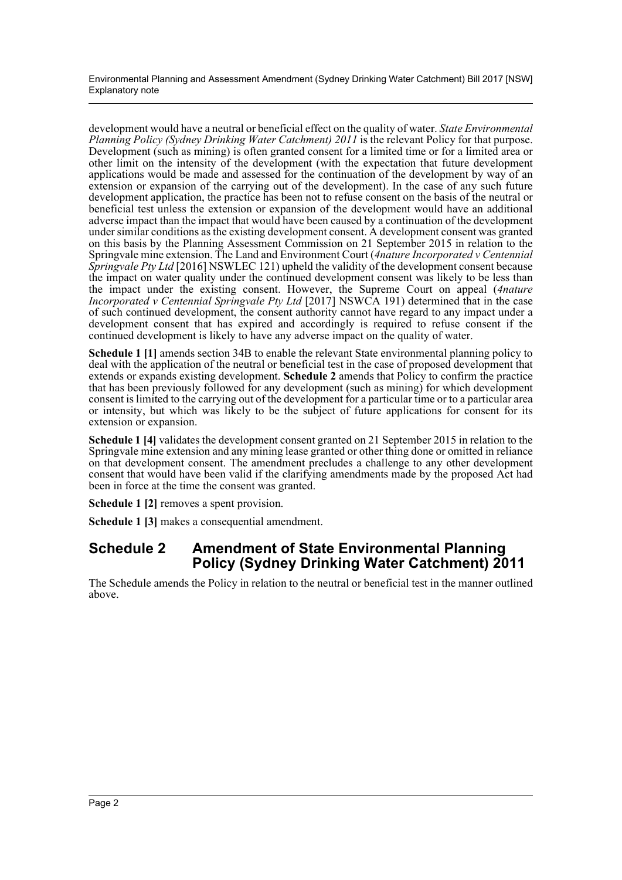Environmental Planning and Assessment Amendment (Sydney Drinking Water Catchment) Bill 2017 [NSW] Explanatory note

development would have a neutral or beneficial effect on the quality of water. *State Environmental Planning Policy (Sydney Drinking Water Catchment) 2011* is the relevant Policy for that purpose. Development (such as mining) is often granted consent for a limited time or for a limited area or other limit on the intensity of the development (with the expectation that future development applications would be made and assessed for the continuation of the development by way of an extension or expansion of the carrying out of the development). In the case of any such future development application, the practice has been not to refuse consent on the basis of the neutral or beneficial test unless the extension or expansion of the development would have an additional adverse impact than the impact that would have been caused by a continuation of the development under similar conditions as the existing development consent. A development consent was granted on this basis by the Planning Assessment Commission on 21 September 2015 in relation to the Springvale mine extension. The Land and Environment Court (*4nature Incorporated v Centennial Springvale Pty Ltd* [2016] NSWLEC 121) upheld the validity of the development consent because the impact on water quality under the continued development consent was likely to be less than the impact under the existing consent. However, the Supreme Court on appeal (*4nature Incorporated v Centennial Springvale Pty Ltd* [2017] NSWCA 191) determined that in the case of such continued development, the consent authority cannot have regard to any impact under a development consent that has expired and accordingly is required to refuse consent if the continued development is likely to have any adverse impact on the quality of water.

**Schedule 1 [1]** amends section 34B to enable the relevant State environmental planning policy to deal with the application of the neutral or beneficial test in the case of proposed development that extends or expands existing development. **Schedule 2** amends that Policy to confirm the practice that has been previously followed for any development (such as mining) for which development consent is limited to the carrying out of the development for a particular time or to a particular area or intensity, but which was likely to be the subject of future applications for consent for its extension or expansion.

**Schedule 1 [4]** validates the development consent granted on 21 September 2015 in relation to the Springvale mine extension and any mining lease granted or other thing done or omitted in reliance on that development consent. The amendment precludes a challenge to any other development consent that would have been valid if the clarifying amendments made by the proposed Act had been in force at the time the consent was granted.

**Schedule 1 [2]** removes a spent provision.

**Schedule 1 [3]** makes a consequential amendment.

### **Schedule 2 Amendment of State Environmental Planning Policy (Sydney Drinking Water Catchment) 2011**

The Schedule amends the Policy in relation to the neutral or beneficial test in the manner outlined above.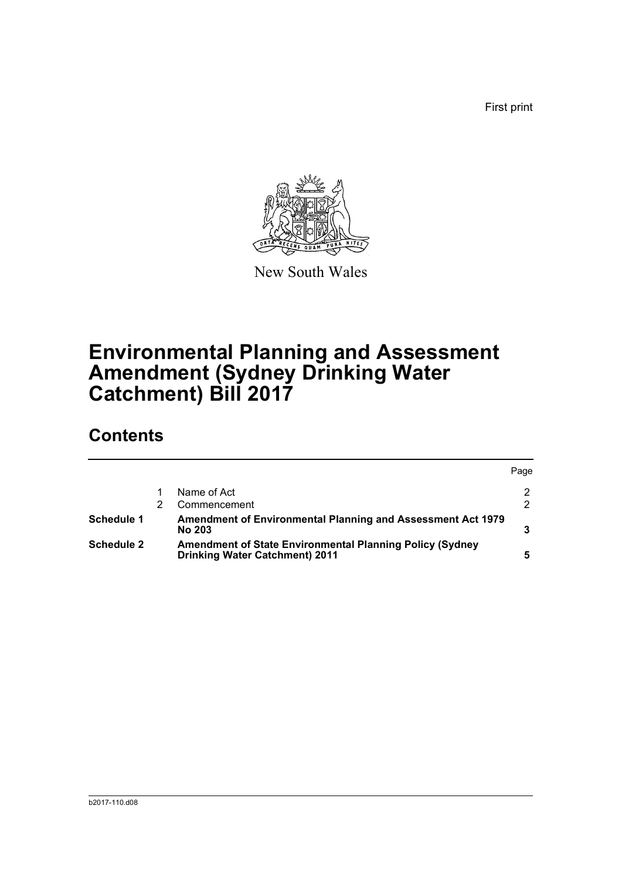First print



New South Wales

# **Environmental Planning and Assessment Amendment (Sydney Drinking Water Catchment) Bill 2017**

## **Contents**

|            |                                                                                                          | Page          |
|------------|----------------------------------------------------------------------------------------------------------|---------------|
|            | Name of Act                                                                                              | 2             |
|            | Commencement                                                                                             | $\mathcal{P}$ |
| Schedule 1 | Amendment of Environmental Planning and Assessment Act 1979<br><b>No 203</b>                             |               |
| Schedule 2 | <b>Amendment of State Environmental Planning Policy (Sydney</b><br><b>Drinking Water Catchment) 2011</b> | 5             |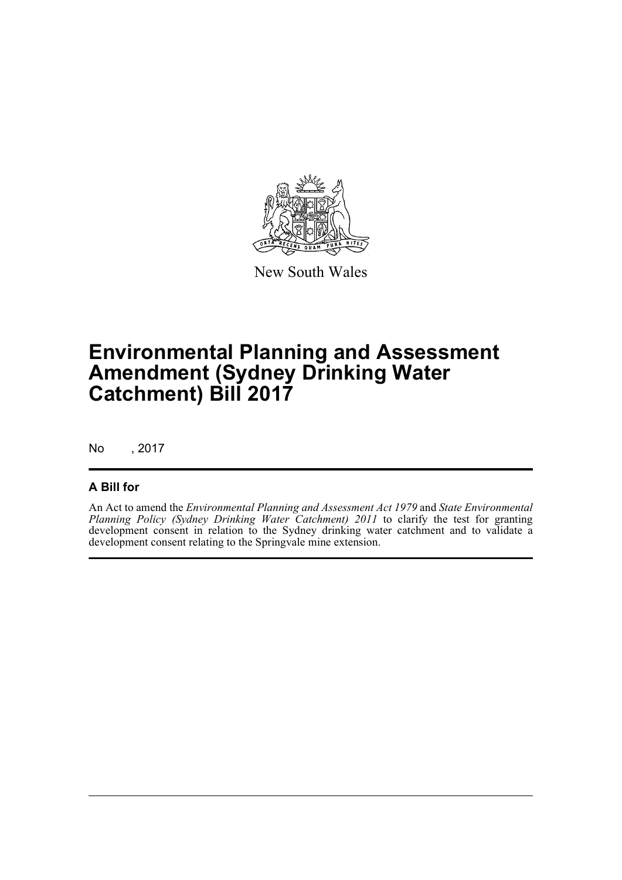

New South Wales

## **Environmental Planning and Assessment Amendment (Sydney Drinking Water Catchment) Bill 2017**

No , 2017

#### **A Bill for**

An Act to amend the *Environmental Planning and Assessment Act 1979* and *State Environmental Planning Policy (Sydney Drinking Water Catchment) 2011* to clarify the test for granting development consent in relation to the Sydney drinking water catchment and to validate a development consent relating to the Springvale mine extension.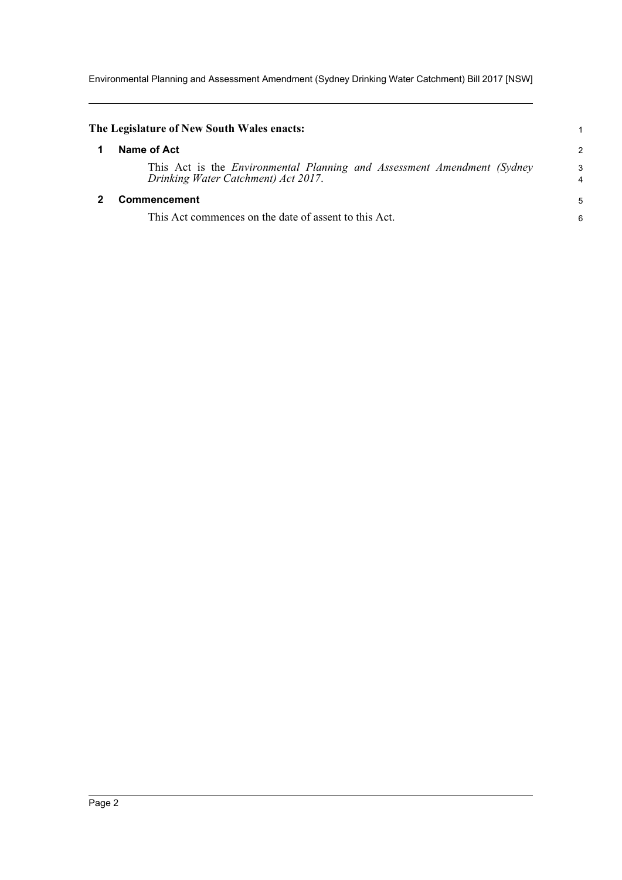Environmental Planning and Assessment Amendment (Sydney Drinking Water Catchment) Bill 2017 [NSW]

<span id="page-4-1"></span><span id="page-4-0"></span>

| The Legislature of New South Wales enacts:                                                                            |                     |
|-----------------------------------------------------------------------------------------------------------------------|---------------------|
| Name of Act                                                                                                           | 2                   |
| This Act is the <i>Environmental Planning and Assessment Amendment (Sydney</i><br>Drinking Water Catchment) Act 2017. | 3<br>$\overline{4}$ |
| Commencement                                                                                                          |                     |
| This Act commences on the date of assent to this Act.                                                                 | 6                   |
|                                                                                                                       |                     |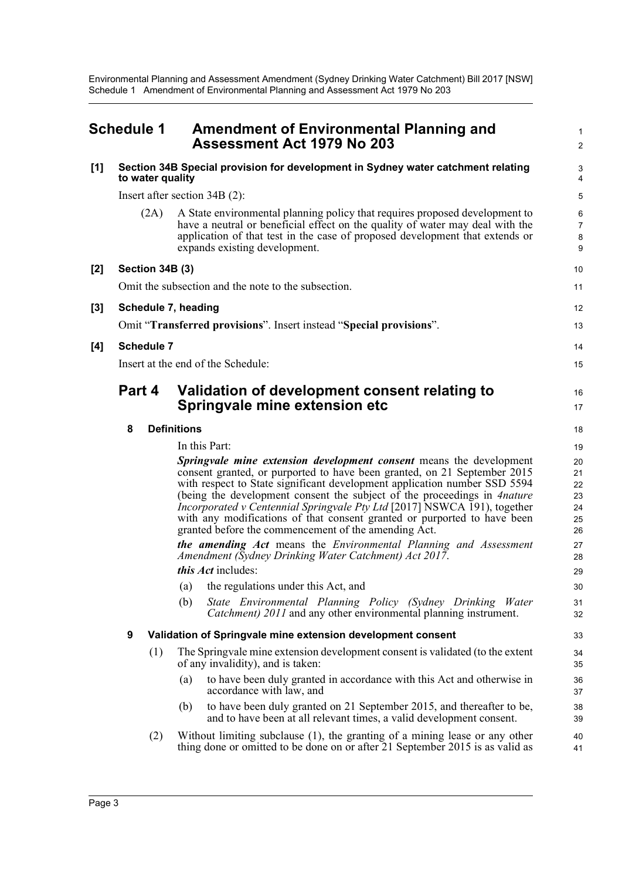1 2

### <span id="page-5-0"></span>**Schedule 1 Amendment of Environmental Planning and Assessment Act 1979 No 203**

| [1]   | Section 34B Special provision for development in Sydney water catchment relating<br>to water quality |                                                                                                                                                                                                                                                                                                                                                                                                                                                                                                                                 |                                        |  |
|-------|------------------------------------------------------------------------------------------------------|---------------------------------------------------------------------------------------------------------------------------------------------------------------------------------------------------------------------------------------------------------------------------------------------------------------------------------------------------------------------------------------------------------------------------------------------------------------------------------------------------------------------------------|----------------------------------------|--|
|       | Insert after section $34B(2)$ :                                                                      |                                                                                                                                                                                                                                                                                                                                                                                                                                                                                                                                 |                                        |  |
|       | (2A)                                                                                                 | A State environmental planning policy that requires proposed development to<br>have a neutral or beneficial effect on the quality of water may deal with the<br>application of that test in the case of proposed development that extends or<br>expands existing development.                                                                                                                                                                                                                                                   | 6<br>7<br>8<br>9                       |  |
| $[2]$ | Section 34B (3)                                                                                      |                                                                                                                                                                                                                                                                                                                                                                                                                                                                                                                                 | 10                                     |  |
|       | Omit the subsection and the note to the subsection.                                                  |                                                                                                                                                                                                                                                                                                                                                                                                                                                                                                                                 |                                        |  |
| $[3]$ |                                                                                                      | Schedule 7, heading                                                                                                                                                                                                                                                                                                                                                                                                                                                                                                             | 12                                     |  |
|       |                                                                                                      | Omit "Transferred provisions". Insert instead "Special provisions".                                                                                                                                                                                                                                                                                                                                                                                                                                                             | 13                                     |  |
| [4]   | <b>Schedule 7</b>                                                                                    |                                                                                                                                                                                                                                                                                                                                                                                                                                                                                                                                 |                                        |  |
|       | Insert at the end of the Schedule:                                                                   |                                                                                                                                                                                                                                                                                                                                                                                                                                                                                                                                 |                                        |  |
|       | Part 4                                                                                               | Validation of development consent relating to<br>Springvale mine extension etc                                                                                                                                                                                                                                                                                                                                                                                                                                                  | 16<br>17                               |  |
|       | 8                                                                                                    | <b>Definitions</b>                                                                                                                                                                                                                                                                                                                                                                                                                                                                                                              | 18                                     |  |
|       |                                                                                                      | In this Part:                                                                                                                                                                                                                                                                                                                                                                                                                                                                                                                   | 19                                     |  |
|       |                                                                                                      | <b>Springvale mine extension development consent</b> means the development<br>consent granted, or purported to have been granted, on 21 September 2015<br>with respect to State significant development application number SSD 5594<br>(being the development consent the subject of the proceedings in 4nature<br>Incorporated v Centennial Springvale Pty Ltd [2017] NSWCA 191), together<br>with any modifications of that consent granted or purported to have been<br>granted before the commencement of the amending Act. | 20<br>21<br>22<br>23<br>24<br>25<br>26 |  |
|       |                                                                                                      | the amending Act means the Environmental Planning and Assessment<br>Amendment (Sydney Drinking Water Catchment) Act 2017.                                                                                                                                                                                                                                                                                                                                                                                                       | 27<br>28                               |  |
|       |                                                                                                      | <i>this Act</i> includes:                                                                                                                                                                                                                                                                                                                                                                                                                                                                                                       | 29                                     |  |
|       |                                                                                                      | the regulations under this Act, and<br>(a)                                                                                                                                                                                                                                                                                                                                                                                                                                                                                      | 30                                     |  |
|       |                                                                                                      | State Environmental Planning Policy (Sydney Drinking Water<br>(b)<br><i>Catchment</i> ) 2011 and any other environmental planning instrument.                                                                                                                                                                                                                                                                                                                                                                                   | 31<br>32                               |  |
|       | 9                                                                                                    | Validation of Springvale mine extension development consent                                                                                                                                                                                                                                                                                                                                                                                                                                                                     | 33                                     |  |
|       | (1)                                                                                                  | The Springvale mine extension development consent is validated (to the extent<br>of any invalidity), and is taken:                                                                                                                                                                                                                                                                                                                                                                                                              | 34<br>35                               |  |
|       |                                                                                                      | to have been duly granted in accordance with this Act and otherwise in<br>(a)<br>accordance with law, and                                                                                                                                                                                                                                                                                                                                                                                                                       | 36<br>37                               |  |
|       |                                                                                                      | to have been duly granted on 21 September 2015, and thereafter to be,<br>(b)<br>and to have been at all relevant times, a valid development consent.                                                                                                                                                                                                                                                                                                                                                                            | 38<br>39                               |  |
|       | (2)                                                                                                  | Without limiting subclause $(1)$ , the granting of a mining lease or any other<br>thing done or omitted to be done on or after 21 September 2015 is as valid as                                                                                                                                                                                                                                                                                                                                                                 | 40<br>41                               |  |
|       |                                                                                                      |                                                                                                                                                                                                                                                                                                                                                                                                                                                                                                                                 |                                        |  |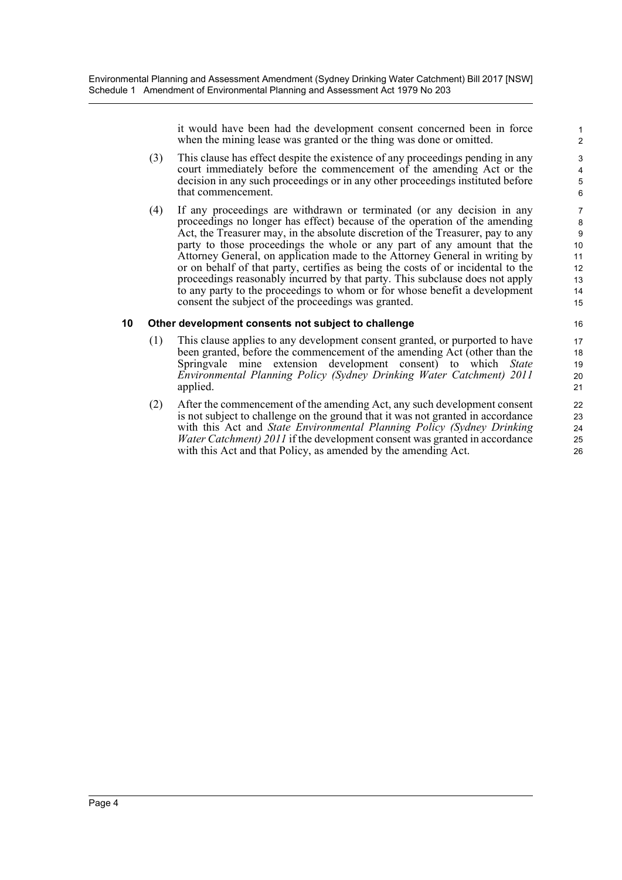it would have been had the development consent concerned been in force when the mining lease was granted or the thing was done or omitted.

- (3) This clause has effect despite the existence of any proceedings pending in any court immediately before the commencement of the amending Act or the decision in any such proceedings or in any other proceedings instituted before that commencement.
- (4) If any proceedings are withdrawn or terminated (or any decision in any proceedings no longer has effect) because of the operation of the amending Act, the Treasurer may, in the absolute discretion of the Treasurer, pay to any party to those proceedings the whole or any part of any amount that the Attorney General, on application made to the Attorney General in writing by or on behalf of that party, certifies as being the costs of or incidental to the proceedings reasonably incurred by that party. This subclause does not apply to any party to the proceedings to whom or for whose benefit a development consent the subject of the proceedings was granted.

#### **10 Other development consents not subject to challenge**

- (1) This clause applies to any development consent granted, or purported to have been granted, before the commencement of the amending Act (other than the Springvale mine extension development consent) to which *State Environmental Planning Policy (Sydney Drinking Water Catchment) 2011* applied.
- (2) After the commencement of the amending Act, any such development consent is not subject to challenge on the ground that it was not granted in accordance with this Act and *State Environmental Planning Policy (Sydney Drinking Water Catchment) 2011* if the development consent was granted in accordance with this Act and that Policy, as amended by the amending Act.